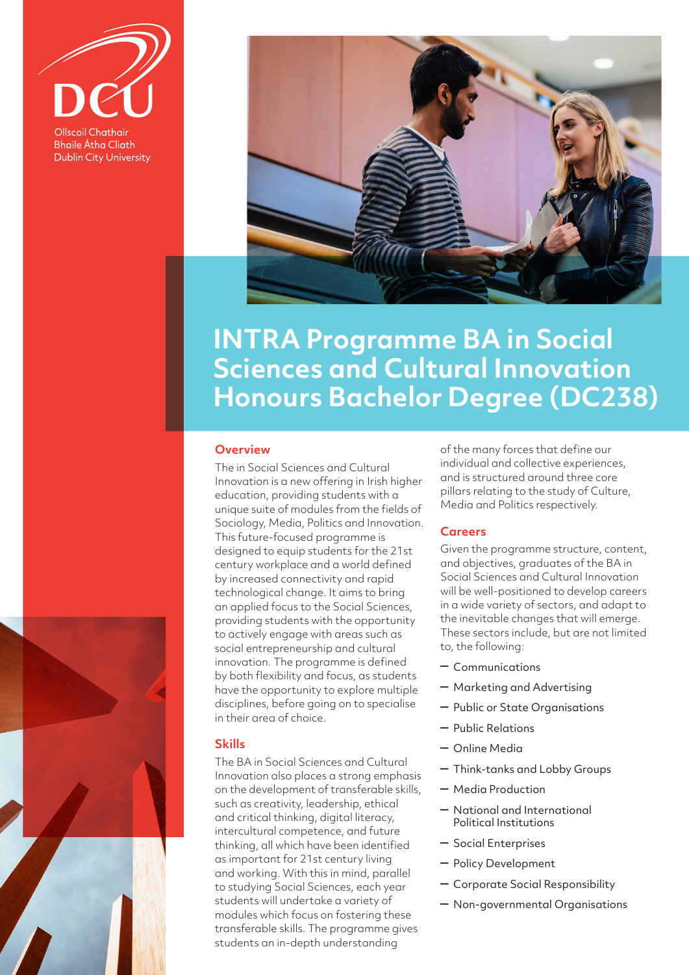**Ollscoil Chathair Bhaile Átha Cliath Dublin City University** 



# **INTRA Programme BA in Social Sciences and Cultural Innovation Honours Bachelor Degree (DC238)**

## **Overview**

The in Social Sciences and Cultural Innovation is a new offering in Irish higher education, providing students with a unique suite of modules from the fields of Sociology, Media, Politics and Innovation. This future-focused programme is designed to equip students for the 21st century workplace and a world defined by increased connectivity and rapid technological change. It aims to bring an applied focus to the Social Sciences, providing students with the opportunity to actively engage with areas such as social entrepreneurship and cultural innovation. The programme is defined by both flexibility and focus, as students have the opportunity to explore multiple disciplines, before going on to specialise in their area of choice.

## **Skills**

The BA in Social Sciences and Cultural Innovation also places a strong emphasis on the development of transferable skills, such as creativity, leadership, ethical and critical thinking, digital literacy, intercultural competence, and future thinking, all which have been identified as important for 21st century living and working. With this in mind, parallel to studying Social Sciences, each year students will undertake a variety of modules which focus on fostering these transferable skills. The programme gives students an in-depth understanding

of the many forces that define our individual and collective experiences, and is structured around three core pillars relating to the study of Culture, Media and Politics respectively.

#### **Careers**

Given the programme structure, content, and objectives, graduates of the BA in Social Sciences and Cultural Innovation will be well-positioned to develop careers in a wide variety of sectors, and adapt to the inevitable changes that will emerge. These sectors include, but are not limited to, the following:

- Communications
- Marketing and Advertising
- Public or State Organisations
- Public Relations
- Online Media
- Think-tanks and Lobby Groups
- Media Production
- National and International Political Institutions
- Social Enterprises
- Policy Development
- Corporate Social Responsibility
- Non-governmental Organisations